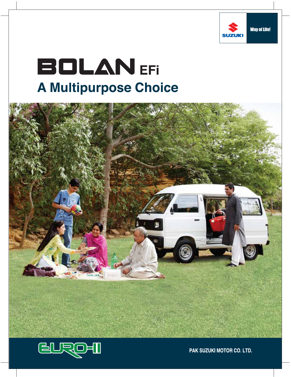

# **BOLANEFI A Multipurpose Choice**





PAK SUZUKI MOTOR CO. LTD.